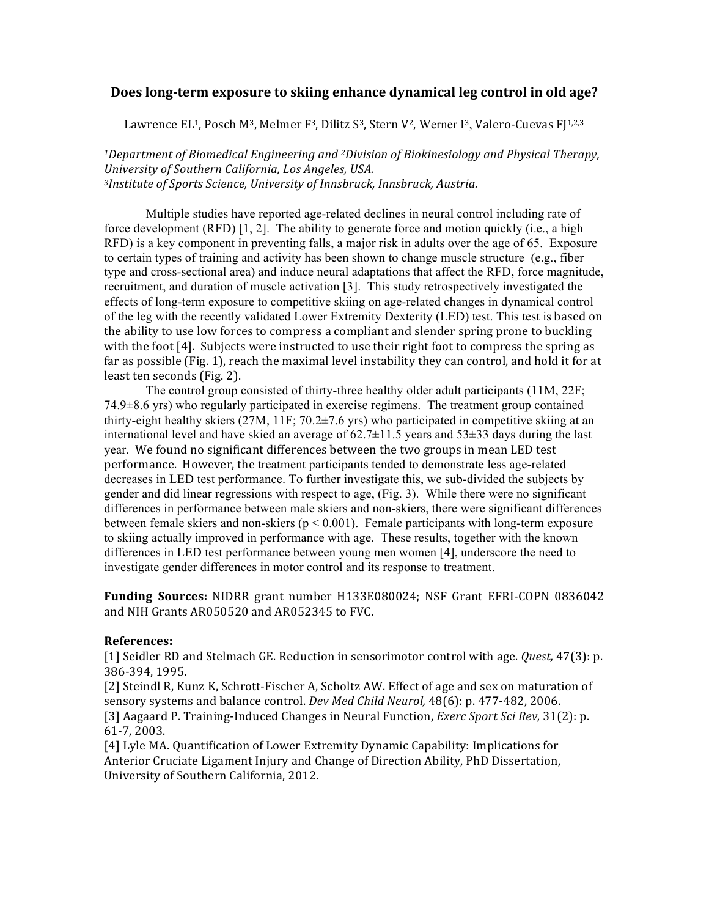## **Does long-term exposure to skiing enhance dynamical leg control in old age?**

Lawrence EL<sup>1</sup>, Posch M<sup>3</sup>, Melmer F<sup>3</sup>, Dilitz S<sup>3</sup>, Stern V<sup>2</sup>, Werner I<sup>3</sup>, Valero-Cuevas  $F[1,2,3]$ 

*1Department of Biomedical Engineering and <sup>2</sup>Division of Biokinesiology and Physical Therapy, University of Southern California, Los Angeles, USA.* <sup>3</sup>Institute of Sports Science, University of Innsbruck, Innsbruck, Austria.

Multiple studies have reported age-related declines in neural control including rate of force development  $(RFD)$  [1, 2]. The ability to generate force and motion quickly (i.e., a high RFD) is a key component in preventing falls, a major risk in adults over the age of 65. Exposure to certain types of training and activity has been shown to change muscle structure (e.g., fiber type and cross-sectional area) and induce neural adaptations that affect the RFD, force magnitude, recruitment, and duration of muscle activation [3]. This study retrospectively investigated the effects of long-term exposure to competitive skiing on age-related changes in dynamical control of the leg with the recently validated Lower Extremity Dexterity (LED) test. This test is based on the ability to use low forces to compress a compliant and slender spring prone to buckling with the foot  $[4]$ . Subjects were instructed to use their right foot to compress the spring as far as possible (Fig. 1), reach the maximal level instability they can control, and hold it for at least ten seconds (Fig. 2).

The control group consisted of thirty-three healthy older adult participants (11M, 22F; 74.9±8.6 yrs) who regularly participated in exercise regimens. The treatment group contained thirty-eight healthy skiers (27M, 11F; 70.2±7.6 yrs) who participated in competitive skiing at an international level and have skied an average of  $62.7\pm11.5$  years and  $53\pm33$  days during the last year. We found no significant differences between the two groups in mean LED test performance. However, the treatment participants tended to demonstrate less age-related decreases in LED test performance. To further investigate this, we sub-divided the subjects by gender and did linear regressions with respect to age, (Fig. 3). While there were no significant differences in performance between male skiers and non-skiers, there were significant differences between female skiers and non-skiers ( $p < 0.001$ ). Female participants with long-term exposure to skiing actually improved in performance with age. These results, together with the known differences in LED test performance between young men women [4], underscore the need to investigate gender differences in motor control and its response to treatment.

**Funding Sources:** NIDRR grant number H133E080024; NSF Grant EFRI-COPN 0836042 and NIH Grants AR050520 and AR052345 to FVC.

## **References:**

[1] Seidler RD and Stelmach GE. Reduction in sensorimotor control with age. *Quest,* 47(3): p. 386-394, 1995.

[2] Steindl R, Kunz K, Schrott-Fischer A, Scholtz AW. Effect of age and sex on maturation of sensory systems and balance control. *Dev Med Child Neurol*, 48(6): p. 477-482, 2006. [3] Aagaard P. Training-Induced Changes in Neural Function, *Exerc Sport Sci Rev*, 31(2): p. 61-7, 2003.

[4] Lyle MA. Quantification of Lower Extremity Dynamic Capability: Implications for Anterior Cruciate Ligament Injury and Change of Direction Ability, PhD Dissertation, University of Southern California, 2012.